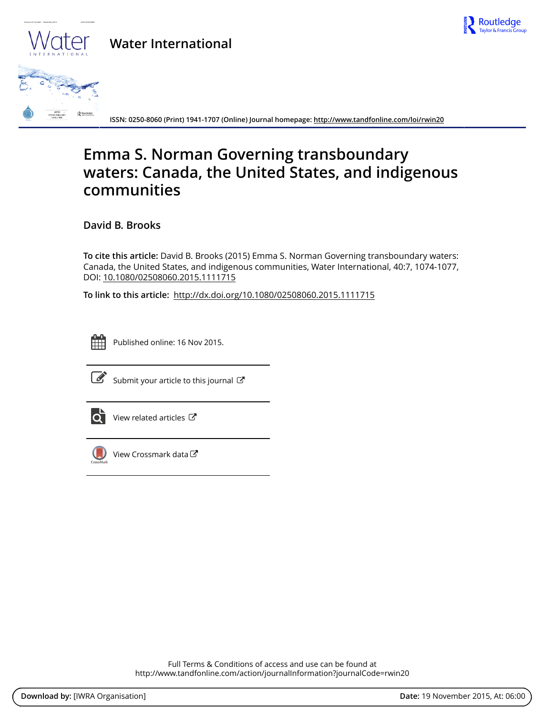

## **Water International**



**ISSN: 0250-8060 (Print) 1941-1707 (Online) Journal homepage:<http://www.tandfonline.com/loi/rwin20>**

## **Emma S. Norman Governing transboundary waters: Canada, the United States, and indigenous communities**

**David B. Brooks**

**To cite this article:** David B. Brooks (2015) Emma S. Norman Governing transboundary waters: Canada, the United States, and indigenous communities, Water International, 40:7, 1074-1077, DOI: [10.1080/02508060.2015.1111715](http://www.tandfonline.com/action/showCitFormats?doi=10.1080/02508060.2015.1111715)

**To link to this article:** <http://dx.doi.org/10.1080/02508060.2015.1111715>



Published online: 16 Nov 2015.



 $\overline{\mathscr{L}}$  [Submit your article to this journal](http://www.tandfonline.com/action/authorSubmission?journalCode=rwin20&page=instructions)  $\mathbb{Z}$ 



 $\overrightarrow{O}$  [View related articles](http://www.tandfonline.com/doi/mlt/10.1080/02508060.2015.1111715)  $\overrightarrow{C}$ 



[View Crossmark data](http://crossmark.crossref.org/dialog/?doi=10.1080/02508060.2015.1111715&domain=pdf&date_stamp=2015-11-16) $\mathbb{Z}$ 

Full Terms & Conditions of access and use can be found at <http://www.tandfonline.com/action/journalInformation?journalCode=rwin20>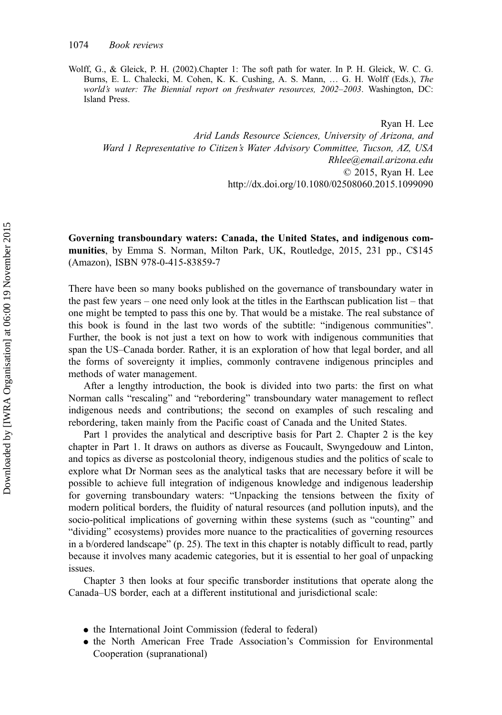Wolff, G., & Gleick, P. H. (2002).Chapter 1: The soft path for water. In P. H. Gleick, W. C. G. Burns, E. L. Chalecki, M. Cohen, K. K. Cushing, A. S. Mann, … G. H. Wolff (Eds.), The world's water: The Biennial report on freshwater resources, 2002–2003. Washington, DC: Island Press.

Ryan H. Lee Arid Lands Resource Sciences, University of Arizona, and Ward 1 Representative to Citizen's Water Advisory Committee, Tucson, AZ, USA Rhlee@email.arizona.edu © 2015, Ryan H. Lee http://dx.doi.org/10.1080/02508060.2015.1099090

Governing transboundary waters: Canada, the United States, and indigenous communities, by Emma S. Norman, Milton Park, UK, Routledge, 2015, 231 pp., C\$145 (Amazon), ISBN 978-0-415-83859-7

There have been so many books published on the governance of transboundary water in the past few years – one need only look at the titles in the Earthscan publication list – that one might be tempted to pass this one by. That would be a mistake. The real substance of this book is found in the last two words of the subtitle: "indigenous communities". Further, the book is not just a text on how to work with indigenous communities that span the US–Canada border. Rather, it is an exploration of how that legal border, and all the forms of sovereignty it implies, commonly contravene indigenous principles and methods of water management.

After a lengthy introduction, the book is divided into two parts: the first on what Norman calls "rescaling" and "rebordering" transboundary water management to reflect indigenous needs and contributions; the second on examples of such rescaling and rebordering, taken mainly from the Pacific coast of Canada and the United States.

Part 1 provides the analytical and descriptive basis for Part 2. Chapter 2 is the key chapter in Part 1. It draws on authors as diverse as Foucault, Swyngedouw and Linton, and topics as diverse as postcolonial theory, indigenous studies and the politics of scale to explore what Dr Norman sees as the analytical tasks that are necessary before it will be possible to achieve full integration of indigenous knowledge and indigenous leadership for governing transboundary waters: "Unpacking the tensions between the fixity of modern political borders, the fluidity of natural resources (and pollution inputs), and the socio-political implications of governing within these systems (such as "counting" and "dividing" ecosystems) provides more nuance to the practicalities of governing resources in a b/ordered landscape" (p. 25). The text in this chapter is notably difficult to read, partly because it involves many academic categories, but it is essential to her goal of unpacking issues.

Chapter 3 then looks at four specific transborder institutions that operate along the Canada–US border, each at a different institutional and jurisdictional scale:

- the International Joint Commission (federal to federal)
- the North American Free Trade Association's Commission for Environmental Cooperation (supranational)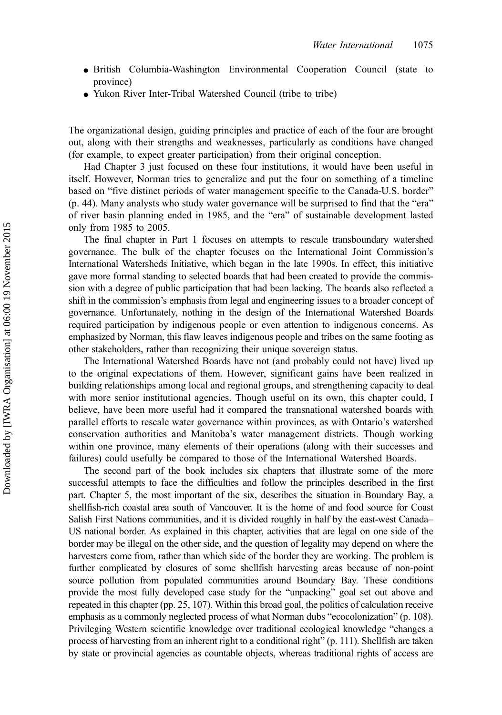- British Columbia-Washington Environmental Cooperation Council (state to province)
- Yukon River Inter-Tribal Watershed Council (tribe to tribe)

The organizational design, guiding principles and practice of each of the four are brought out, along with their strengths and weaknesses, particularly as conditions have changed (for example, to expect greater participation) from their original conception.

Had Chapter 3 just focused on these four institutions, it would have been useful in itself. However, Norman tries to generalize and put the four on something of a timeline based on "five distinct periods of water management specific to the Canada-U.S. border" (p. 44). Many analysts who study water governance will be surprised to find that the "era" of river basin planning ended in 1985, and the "era" of sustainable development lasted only from 1985 to 2005.

The final chapter in Part 1 focuses on attempts to rescale transboundary watershed governance. The bulk of the chapter focuses on the International Joint Commission's International Watersheds Initiative, which began in the late 1990s. In effect, this initiative gave more formal standing to selected boards that had been created to provide the commission with a degree of public participation that had been lacking. The boards also reflected a shift in the commission's emphasis from legal and engineering issues to a broader concept of governance. Unfortunately, nothing in the design of the International Watershed Boards required participation by indigenous people or even attention to indigenous concerns. As emphasized by Norman, this flaw leaves indigenous people and tribes on the same footing as other stakeholders, rather than recognizing their unique sovereign status.

The International Watershed Boards have not (and probably could not have) lived up to the original expectations of them. However, significant gains have been realized in building relationships among local and regional groups, and strengthening capacity to deal with more senior institutional agencies. Though useful on its own, this chapter could, I believe, have been more useful had it compared the transnational watershed boards with parallel efforts to rescale water governance within provinces, as with Ontario's watershed conservation authorities and Manitoba's water management districts. Though working within one province, many elements of their operations (along with their successes and failures) could usefully be compared to those of the International Watershed Boards.

The second part of the book includes six chapters that illustrate some of the more successful attempts to face the difficulties and follow the principles described in the first part. Chapter 5, the most important of the six, describes the situation in Boundary Bay, a shellfish-rich coastal area south of Vancouver. It is the home of and food source for Coast Salish First Nations communities, and it is divided roughly in half by the east-west Canada– US national border. As explained in this chapter, activities that are legal on one side of the border may be illegal on the other side, and the question of legality may depend on where the harvesters come from, rather than which side of the border they are working. The problem is further complicated by closures of some shellfish harvesting areas because of non-point source pollution from populated communities around Boundary Bay. These conditions provide the most fully developed case study for the "unpacking" goal set out above and repeated in this chapter (pp. 25, 107). Within this broad goal, the politics of calculation receive emphasis as a commonly neglected process of what Norman dubs "ecocolonization" (p. 108). Privileging Western scientific knowledge over traditional ecological knowledge "changes a process of harvesting from an inherent right to a conditional right" (p. 111). Shellfish are taken by state or provincial agencies as countable objects, whereas traditional rights of access are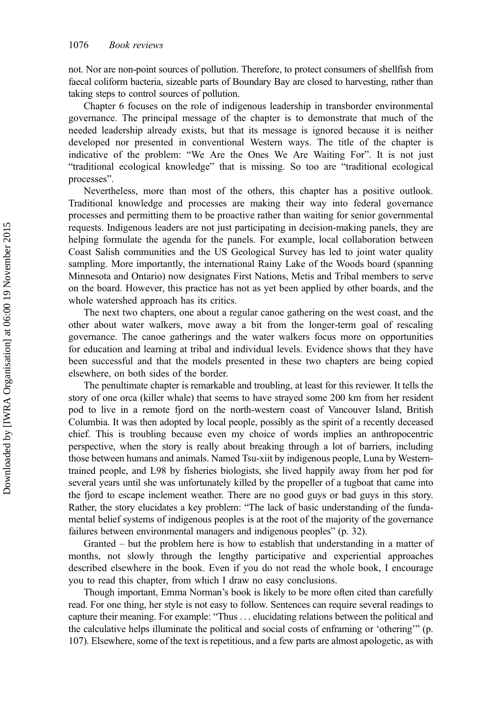not. Nor are non-point sources of pollution. Therefore, to protect consumers of shellfish from faecal coliform bacteria, sizeable parts of Boundary Bay are closed to harvesting, rather than taking steps to control sources of pollution.

Chapter 6 focuses on the role of indigenous leadership in transborder environmental governance. The principal message of the chapter is to demonstrate that much of the needed leadership already exists, but that its message is ignored because it is neither developed nor presented in conventional Western ways. The title of the chapter is indicative of the problem: "We Are the Ones We Are Waiting For". It is not just "traditional ecological knowledge" that is missing. So too are "traditional ecological processes".

Nevertheless, more than most of the others, this chapter has a positive outlook. Traditional knowledge and processes are making their way into federal governance processes and permitting them to be proactive rather than waiting for senior governmental requests. Indigenous leaders are not just participating in decision-making panels, they are helping formulate the agenda for the panels. For example, local collaboration between Coast Salish communities and the US Geological Survey has led to joint water quality sampling. More importantly, the international Rainy Lake of the Woods board (spanning Minnesota and Ontario) now designates First Nations, Metis and Tribal members to serve on the board. However, this practice has not as yet been applied by other boards, and the whole watershed approach has its critics.

The next two chapters, one about a regular canoe gathering on the west coast, and the other about water walkers, move away a bit from the longer-term goal of rescaling governance. The canoe gatherings and the water walkers focus more on opportunities for education and learning at tribal and individual levels. Evidence shows that they have been successful and that the models presented in these two chapters are being copied elsewhere, on both sides of the border.

The penultimate chapter is remarkable and troubling, at least for this reviewer. It tells the story of one orca (killer whale) that seems to have strayed some 200 km from her resident pod to live in a remote fjord on the north-western coast of Vancouver Island, British Columbia. It was then adopted by local people, possibly as the spirit of a recently deceased chief. This is troubling because even my choice of words implies an anthropocentric perspective, when the story is really about breaking through a lot of barriers, including those between humans and animals. Named Tsu-xiit by indigenous people, Luna by Westerntrained people, and L98 by fisheries biologists, she lived happily away from her pod for several years until she was unfortunately killed by the propeller of a tugboat that came into the fjord to escape inclement weather. There are no good guys or bad guys in this story. Rather, the story elucidates a key problem: "The lack of basic understanding of the fundamental belief systems of indigenous peoples is at the root of the majority of the governance failures between environmental managers and indigenous peoples" (p. 32).

Granted – but the problem here is how to establish that understanding in a matter of months, not slowly through the lengthy participative and experiential approaches described elsewhere in the book. Even if you do not read the whole book, I encourage you to read this chapter, from which I draw no easy conclusions.

Though important, Emma Norman's book is likely to be more often cited than carefully read. For one thing, her style is not easy to follow. Sentences can require several readings to capture their meaning. For example: "Thus . . . elucidating relations between the political and the calculative helps illuminate the political and social costs of enframing or 'othering'" (p. 107). Elsewhere, some of the text is repetitious, and a few parts are almost apologetic, as with